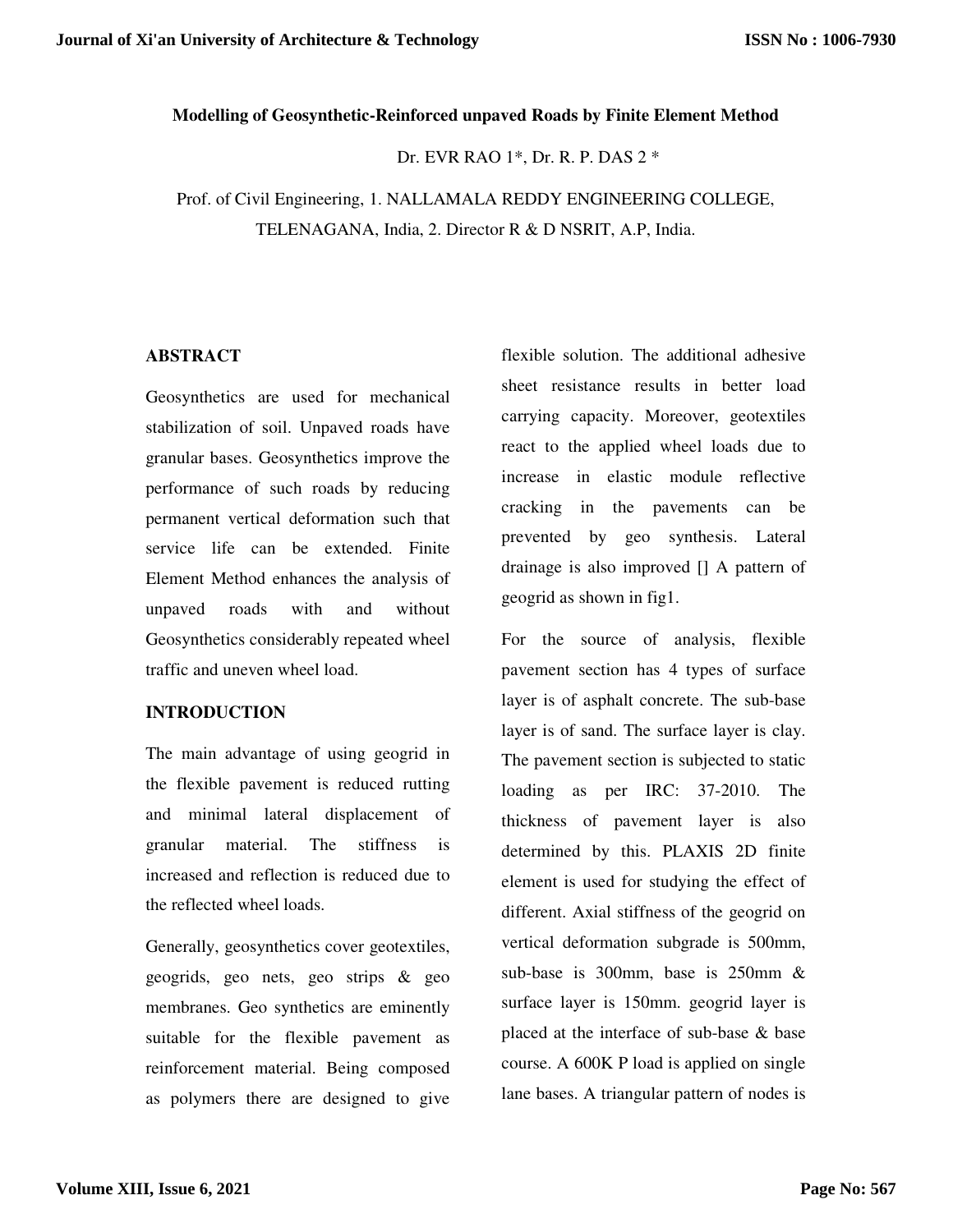### **Modelling of Geosynthetic-Reinforced unpaved Roads by Finite Element Method**

Dr. EVR RAO 1\*, Dr. R. P. DAS 2 \*

Prof. of Civil Engineering, 1. NALLAMALA REDDY ENGINEERING COLLEGE, TELENAGANA, India, 2. Director R & D NSRIT, A.P, India.

### **ABSTRACT**

Geosynthetics are used for mechanical stabilization of soil. Unpaved roads have granular bases. Geosynthetics improve the performance of such roads by reducing permanent vertical deformation such that service life can be extended. Finite Element Method enhances the analysis of unpaved roads with and without Geosynthetics considerably repeated wheel traffic and uneven wheel load.

### **INTRODUCTION**

The main advantage of using geogrid in the flexible pavement is reduced rutting and minimal lateral displacement of granular material. The stiffness is increased and reflection is reduced due to the reflected wheel loads.

Generally, geosynthetics cover geotextiles, geogrids, geo nets, geo strips & geo membranes. Geo synthetics are eminently suitable for the flexible pavement as reinforcement material. Being composed as polymers there are designed to give

flexible solution. The additional adhesive sheet resistance results in better load carrying capacity. Moreover, geotextiles react to the applied wheel loads due to increase in elastic module reflective cracking in the pavements can be prevented by geo synthesis. Lateral drainage is also improved [] A pattern of geogrid as shown in fig1.

For the source of analysis, flexible pavement section has 4 types of surface layer is of asphalt concrete. The sub-base layer is of sand. The surface layer is clay. The pavement section is subjected to static loading as per IRC: 37-2010. The thickness of pavement layer is also determined by this. PLAXIS 2D finite element is used for studying the effect of different. Axial stiffness of the geogrid on vertical deformation subgrade is 500mm, sub-base is 300mm, base is 250mm & surface layer is 150mm. geogrid layer is placed at the interface of sub-base & base course. A 600K P load is applied on single lane bases. A triangular pattern of nodes is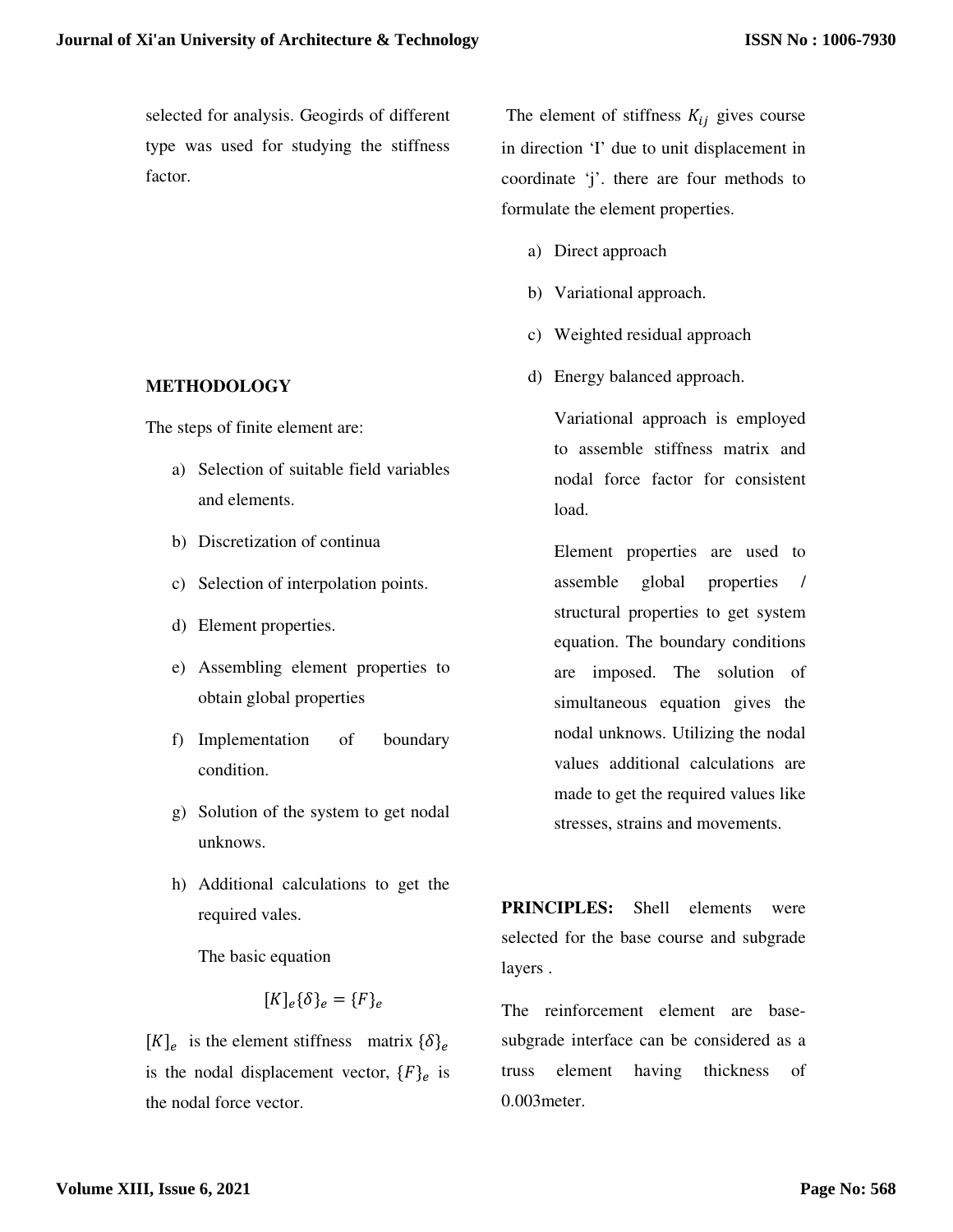selected for analysis. Geogirds of different type was used for studying the stiffness factor.

**METHODOLOGY** 

The steps of finite element are:

- a) Selection of suitable field variables and elements.
- b) Discretization of continua
- c) Selection of interpolation points.
- d) Element properties.
- e) Assembling element properties to obtain global properties
- f) Implementation of boundary condition.
- g) Solution of the system to get nodal unknows.
- h) Additional calculations to get the required vales.

The basic equation

$$
[K]_e \{\delta\}_e = \{F\}_e
$$

 $[K]_e$  is the element stiffness matrix  $\{\delta\}_e$ is the nodal displacement vector,  $\{F\}_e$  is the nodal force vector.

The element of stiffness  $K_{ij}$  gives course in direction 'I' due to unit displacement in coordinate 'j'. there are four methods to formulate the element properties.

- a) Direct approach
- b) Variational approach.
- c) Weighted residual approach
- d) Energy balanced approach.

Variational approach is employed to assemble stiffness matrix and nodal force factor for consistent load.

Element properties are used to assemble global properties / structural properties to get system equation. The boundary conditions are imposed. The solution of simultaneous equation gives the nodal unknows. Utilizing the nodal values additional calculations are made to get the required values like stresses, strains and movements.

**PRINCIPLES:** Shell elements were selected for the base course and subgrade layers .

The reinforcement element are basesubgrade interface can be considered as a truss element having thickness of 0.003meter.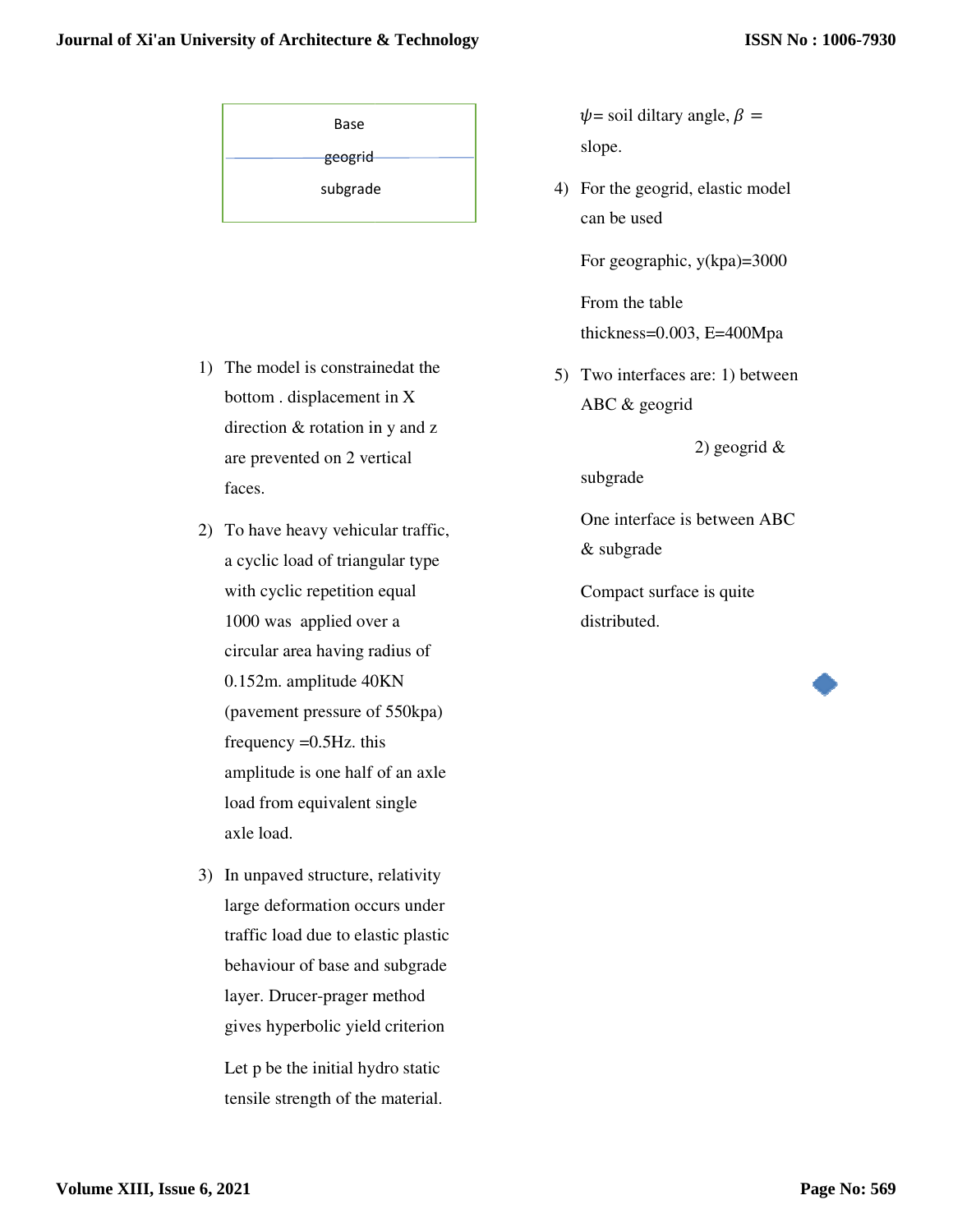| Base     |  |  |  |  |  |
|----------|--|--|--|--|--|
| geogrid  |  |  |  |  |  |
| subgrade |  |  |  |  |  |

- 1) The model is constrainedat the bottom . displacement in X direction & rotation in y and z are prevented on 2 vertical faces. For SY'an University of Architecture & Technology<br>
Base  $\psi$  = soil diltary angle,  $\beta$  =<br>  $\epsilon$ eogrid<br>
subgrade 4) For the googrid, elastic mode<br>
can be used<br>
For geographic,  $y(kpa)$ =3000<br>
From the table<br>
thickness=0.003,
	- 2) To have heavy vehicular traffic, a cyclic load of triangular type with cyclic repetition equal 1000 was applied over a circular area having radius of 0.152m. amplitude 40KN (pavement pressure of 550kpa) frequency  $=0.5$  Hz. this amplitude is one half of an a load from equivalent single axle load. 2 ventical<br>2 vehicular traffic,<br>3 of triangular type<br>pepetition equal<br>plied over a<br>having radius of<br>litude 40KN<br>ressure of 550kpa)<br>0.5Hz. this<br>one half of an axle **Example 19**<br> **Example 20**<br> **Example 30**<br> **Example 30**<br> **Example 30**<br> **Example 30**<br> **Example 30**<br> **Example 30**<br> **Example 30**<br> **Example 30**<br> **Example 30**<br> **Example 30**<br> **Example 30**<br> **Example 30**<br> **Example 30**<br> **Example 30**
	- 3) In unpaved structure, relativity large deformation occurs under traffic load due to elastic plastic behaviour of base and subgrade layer. Drucer-prager method gives hyperbolic yield criterion

Let p be the initial hydro static tensile strength of the material. slope.  $\psi$  = soil diltary angle,  $\beta$  =

4) For the geogrid, elastic model can be used

For geographic, y(kpa)=3000

From the table thickness=0.003, E=400Mpa

5) Two interfaces are: 1) between ABC & geogrid

2) geogrid &

subgrade

One interface is between ABC & subgrade

Compact surface is quite distributed.

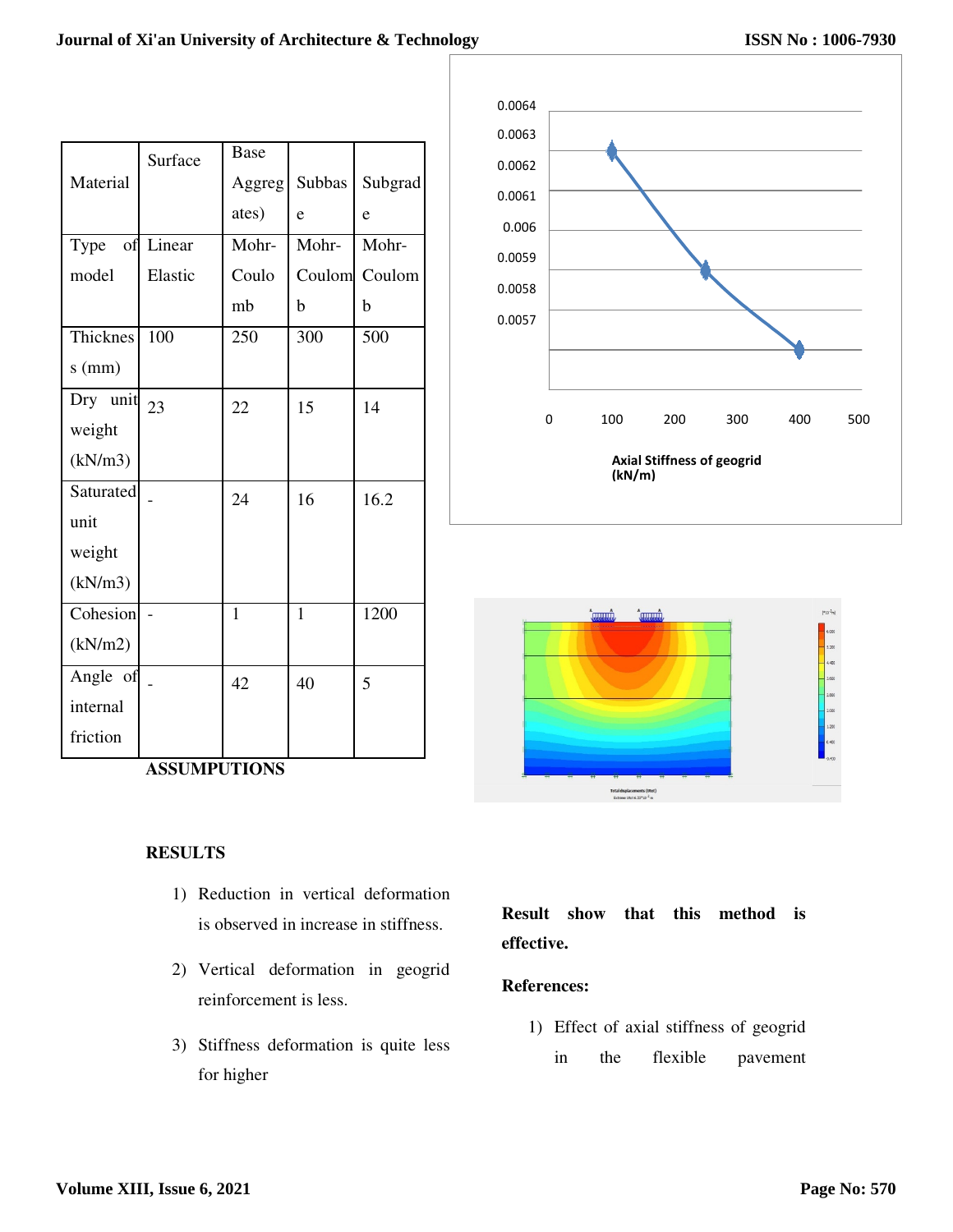|            | Surface | Base   |              |         |
|------------|---------|--------|--------------|---------|
| Material   |         | Aggreg | Subbas       | Subgrad |
|            |         | ates)  | e            | e       |
| Type<br>of | Linear  | Mohr-  | Mohr-        | Mohr-   |
| model      | Elastic | Coulo  | Coulom       | Coulom  |
|            |         | mb     | b            | b       |
| Thicknes   | 100     | 250    | 300          | 500     |
| $s$ (mm)   |         |        |              |         |
| Dry unit   | 23      | 22     | 15           | 14      |
| weight     |         |        |              |         |
| (kN/m3)    |         |        |              |         |
| Saturated  |         | 24     | 16           | 16.2    |
| unit       |         |        |              |         |
| weight     |         |        |              |         |
| (kN/m3)    |         |        |              |         |
| Cohesion   |         | 1      | $\mathbf{1}$ | 1200    |
| (kN/m2)    |         |        |              |         |
| Angle of   |         | 42     | 40           | 5       |
| internal   |         |        |              |         |
| friction   |         |        |              |         |

**ASSUMPUTIONS** 

# **RESULTS**

- 1) Reduction in vertical deformation is observed in increase in stiffness.
- 2) Vertical deformation in geogrid reinforcement is less.
- 3) Stiffness deformation is quite less for higher





**Result show that this method is effective.** 

## **References:**

1) Effect of axial stiffness of geogrid in the flexible pavement